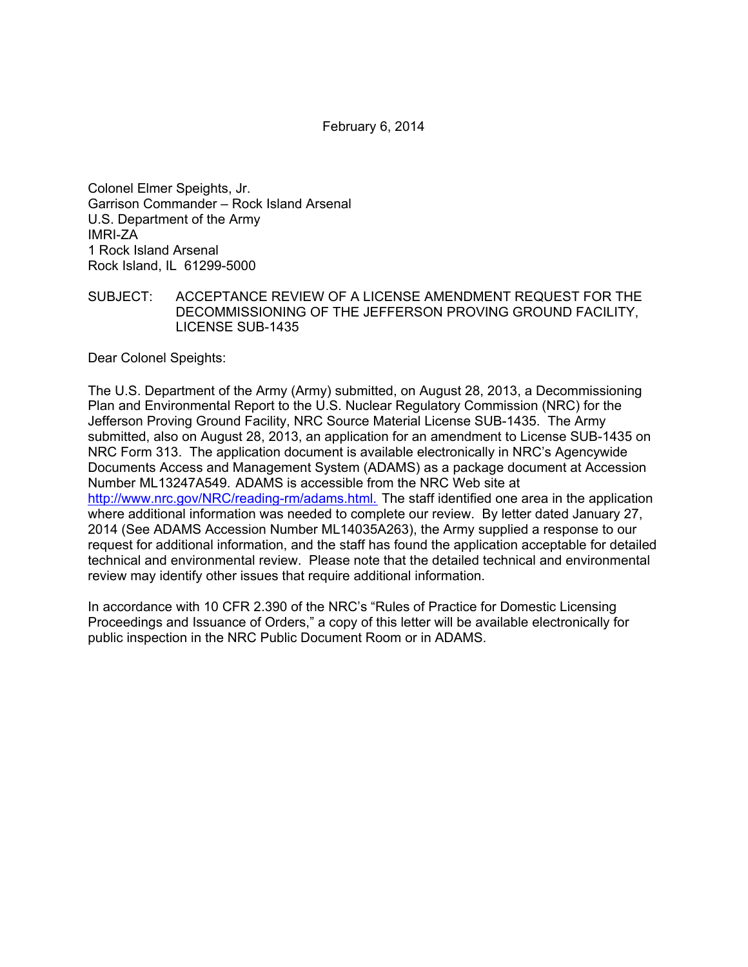February 6, 2014

Colonel Elmer Speights, Jr. Garrison Commander – Rock Island Arsenal U.S. Department of the Army IMRI-ZA 1 Rock Island Arsenal Rock Island, IL 61299-5000

SUBJECT: ACCEPTANCE REVIEW OF A LICENSE AMENDMENT REQUEST FOR THE DECOMMISSIONING OF THE JEFFERSON PROVING GROUND FACILITY, LICENSE SUB-1435

Dear Colonel Speights:

The U.S. Department of the Army (Army) submitted, on August 28, 2013, a Decommissioning Plan and Environmental Report to the U.S. Nuclear Regulatory Commission (NRC) for the Jefferson Proving Ground Facility, NRC Source Material License SUB-1435. The Army submitted, also on August 28, 2013, an application for an amendment to License SUB-1435 on NRC Form 313. The application document is available electronically in NRC's Agencywide Documents Access and Management System (ADAMS) as a package document at Accession Number ML13247A549. ADAMS is accessible from the NRC Web site at http://www.nrc.gov/NRC/reading-rm/adams.html. The staff identified one area in the application where additional information was needed to complete our review. By letter dated January 27, 2014 (See ADAMS Accession Number ML14035A263), the Army supplied a response to our request for additional information, and the staff has found the application acceptable for detailed technical and environmental review. Please note that the detailed technical and environmental review may identify other issues that require additional information.

In accordance with 10 CFR 2.390 of the NRC's "Rules of Practice for Domestic Licensing Proceedings and Issuance of Orders," a copy of this letter will be available electronically for public inspection in the NRC Public Document Room or in ADAMS.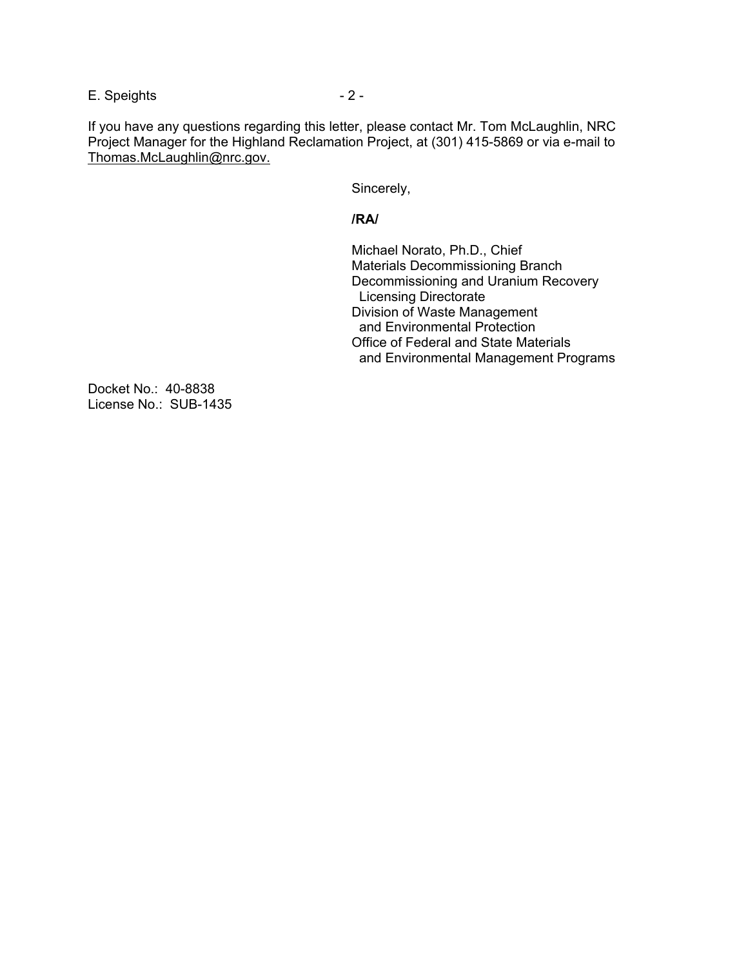E. Speights  $-2 -$ 

If you have any questions regarding this letter, please contact Mr. Tom McLaughlin, NRC Project Manager for the Highland Reclamation Project, at (301) 415-5869 or via e-mail to Thomas.McLaughlin@nrc.gov.

Sincerely,

## *<i><u> /RA/</u>*  $\sim$  /RA/

 Michael Norato, Ph.D., Chief Materials Decommissioning Branch Decommissioning and Uranium Recovery Licensing Directorate Division of Waste Management and Environmental Protection Office of Federal and State Materials and Environmental Management Programs

Docket No.: 40-8838 License No.: SUB-1435